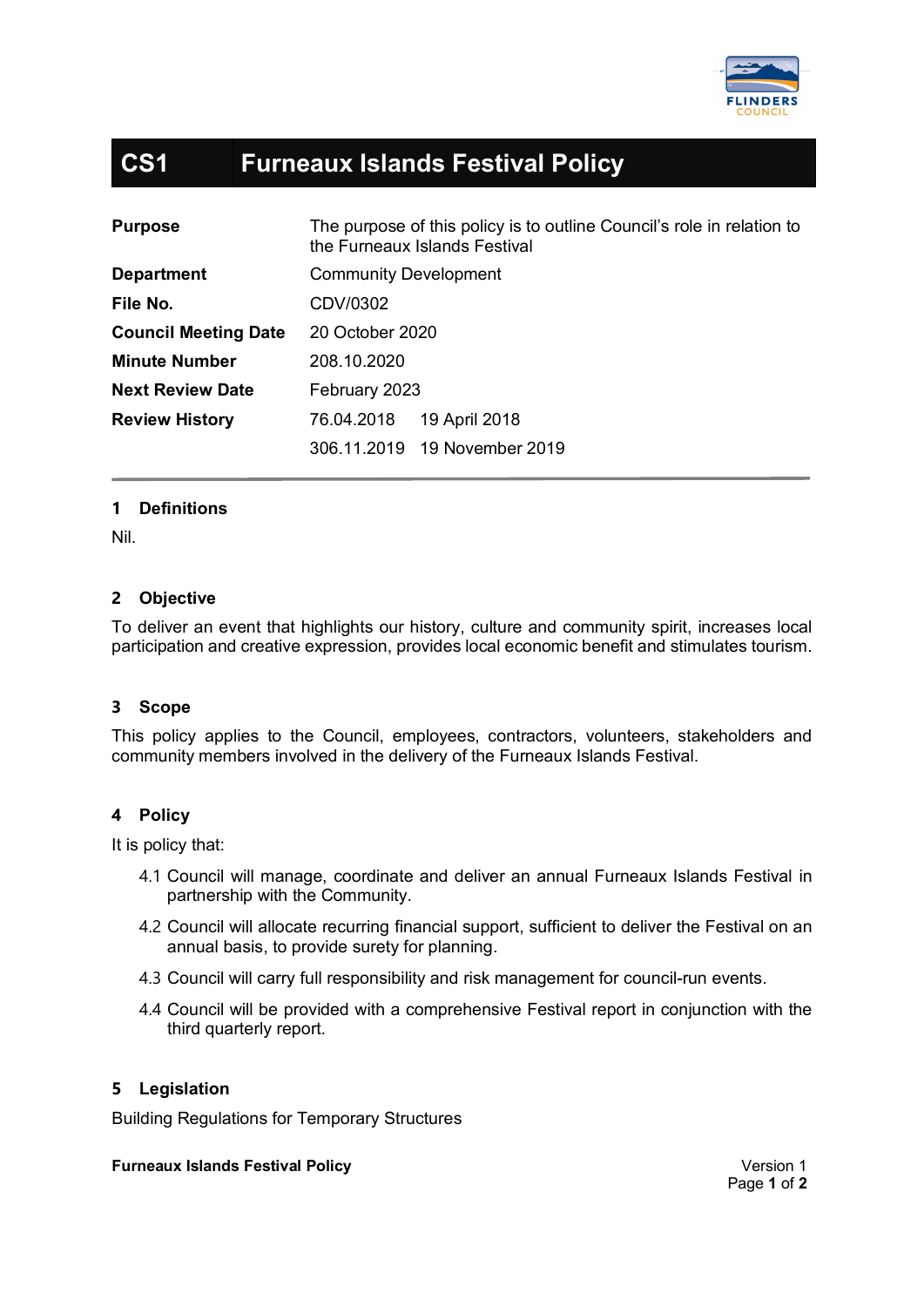

# **CS1 Furneaux Islands Festival Policy**

| <b>Purpose</b>              | The purpose of this policy is to outline Council's role in relation to<br>the Furneaux Islands Festival |
|-----------------------------|---------------------------------------------------------------------------------------------------------|
| <b>Department</b>           | <b>Community Development</b>                                                                            |
| File No.                    | CDV/0302                                                                                                |
| <b>Council Meeting Date</b> | 20 October 2020                                                                                         |
| <b>Minute Number</b>        | 208.10.2020                                                                                             |
| <b>Next Review Date</b>     | February 2023                                                                                           |
| <b>Review History</b>       | 76.04.2018<br>19 April 2018                                                                             |
|                             | 306.11.2019 19 November 2019                                                                            |

## **1 Definitions**

Nil.

## **2 Objective**

To deliver an event that highlights our history, culture and community spirit, increases local participation and creative expression, provides local economic benefit and stimulates tourism.

## **3 Scope**

This policy applies to the Council, employees, contractors, volunteers, stakeholders and community members involved in the delivery of the Furneaux Islands Festival.

### **4 Policy**

It is policy that:

- 4.1 Council will manage, coordinate and deliver an annual Furneaux Islands Festival in partnership with the Community.
- 4.2 Council will allocate recurring financial support, sufficient to deliver the Festival on an annual basis, to provide surety for planning.
- 4.3 Council will carry full responsibility and risk management for council-run events.
- 4.4 Council will be provided with a comprehensive Festival report in conjunction with the third quarterly report.

### **5 Legislation**

Building Regulations for Temporary Structures

#### **Furneaux Islands Festival Policy Version 1**